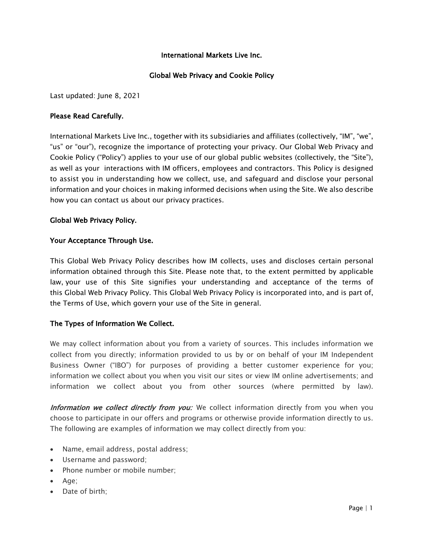### International Markets Live Inc.

### Global Web Privacy and Cookie Policy

Last updated: June 8, 2021

#### Please Read Carefully.

International Markets Live Inc., together with its subsidiaries and affiliates (collectively, "IM", "we", "us" or "our"), recognize the importance of protecting your privacy. Our Global Web Privacy and Cookie Policy ("Policy") applies to your use of our global public websites (collectively, the "Site"), as well as your interactions with IM officers, employees and contractors. This Policy is designed to assist you in understanding how we collect, use, and safeguard and disclose your personal information and your choices in making informed decisions when using the Site. We also describe how you can contact us about our privacy practices.

#### Global Web Privacy Policy.

#### Your Acceptance Through Use.

This Global Web Privacy Policy describes how IM collects, uses and discloses certain personal information obtained through this Site. Please note that, to the extent permitted by applicable law, your use of this Site signifies your understanding and acceptance of the terms of this Global Web Privacy Policy. This Global Web Privacy Policy is incorporated into, and is part of, the Terms of Use, which govern your use of the Site in general.

## The Types of Information We Collect.

We may collect information about you from a variety of sources. This includes information we collect from you directly; information provided to us by or on behalf of your IM Independent Business Owner ("IBO") for purposes of providing a better customer experience for you; information we collect about you when you visit our sites or view IM online advertisements; and information we collect about you from other sources (where permitted by law).

Information we collect directly from you: We collect information directly from you when you choose to participate in our offers and programs or otherwise provide information directly to us. The following are examples of information we may collect directly from you:

- Name, email address, postal address;
- Username and password;
- Phone number or mobile number;
- Age;
- Date of birth;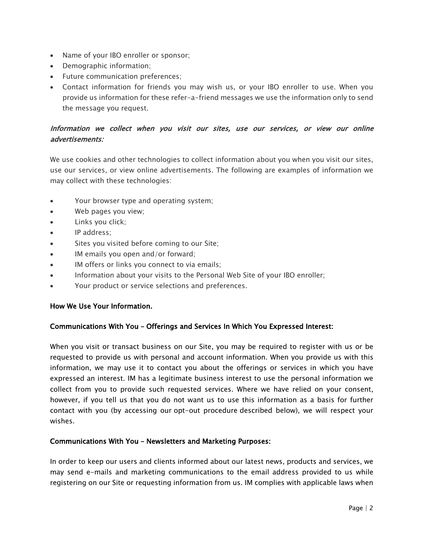- Name of your IBO enroller or sponsor;
- Demographic information;
- Future communication preferences;
- Contact information for friends you may wish us, or your IBO enroller to use. When you provide us information for these refer-a-friend messages we use the information only to send the message you request.

# Information we collect when you visit our sites, use our services, or view our online advertisements:

We use cookies and other technologies to collect information about you when you visit our sites, use our services, or view online advertisements. The following are examples of information we may collect with these technologies:

- Your browser type and operating system;
- Web pages you view;
- Links you click;
- IP address;
- Sites you visited before coming to our Site;
- IM emails you open and/or forward;
- IM offers or links you connect to via emails;
- Information about your visits to the Personal Web Site of your IBO enroller;
- Your product or service selections and preferences.

#### How We Use Your Information.

## Communications With You – Offerings and Services In Which You Expressed Interest:

When you visit or transact business on our Site, you may be required to register with us or be requested to provide us with personal and account information. When you provide us with this information, we may use it to contact you about the offerings or services in which you have expressed an interest. IM has a legitimate business interest to use the personal information we collect from you to provide such requested services. Where we have relied on your consent, however, if you tell us that you do not want us to use this information as a basis for further contact with you (by accessing our opt-out procedure described below), we will respect your wishes.

#### Communications With You – Newsletters and Marketing Purposes:

In order to keep our users and clients informed about our latest news, products and services, we may send e-mails and marketing communications to the email address provided to us while registering on our Site or requesting information from us. IM complies with applicable laws when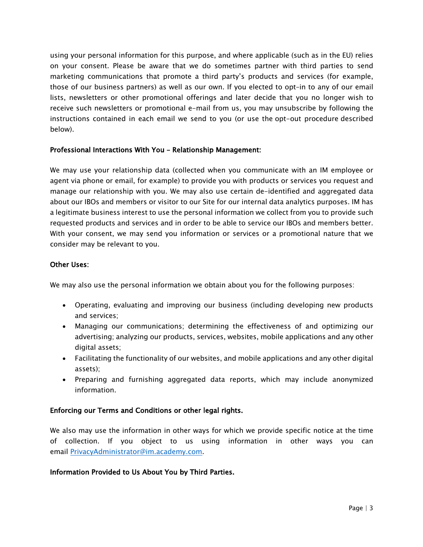using your personal information for this purpose, and where applicable (such as in the EU) relies on your consent. Please be aware that we do sometimes partner with third parties to send marketing communications that promote a third party's products and services (for example, those of our business partners) as well as our own. If you elected to opt–in to any of our email lists, newsletters or other promotional offerings and later decide that you no longer wish to receive such newsletters or promotional e-mail from us, you may unsubscribe by following the instructions contained in each email we send to you (or use the opt-out procedure described below).

### Professional Interactions With You – Relationship Management:

We may use your relationship data (collected when you communicate with an IM employee or agent via phone or email, for example) to provide you with products or services you request and manage our relationship with you. We may also use certain de-identified and aggregated data about our IBOs and members or visitor to our Site for our internal data analytics purposes. IM has a legitimate business interest to use the personal information we collect from you to provide such requested products and services and in order to be able to service our IBOs and members better. With your consent, we may send you information or services or a promotional nature that we consider may be relevant to you.

### Other Uses:

We may also use the personal information we obtain about you for the following purposes:

- Operating, evaluating and improving our business (including developing new products and services;
- Managing our communications; determining the effectiveness of and optimizing our advertising; analyzing our products, services, websites, mobile applications and any other digital assets;
- Facilitating the functionality of our websites, and mobile applications and any other digital assets);
- Preparing and furnishing aggregated data reports, which may include anonymized information.

#### Enforcing our Terms and Conditions or other legal rights.

We also may use the information in other ways for which we provide specific notice at the time of collection. If you object to us using information in other ways you can email PrivacyAdministrator@im.academy.com.

#### Information Provided to Us About You by Third Parties.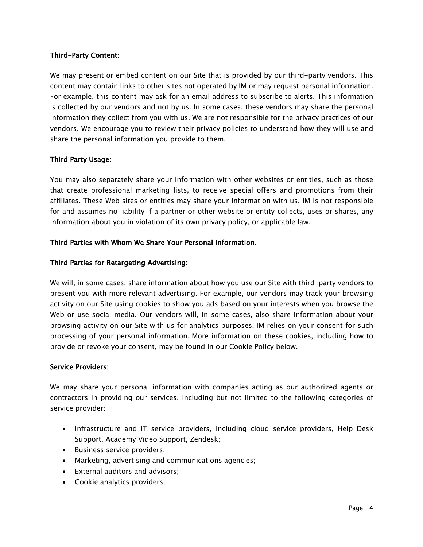## Third-Party Content:

We may present or embed content on our Site that is provided by our third-party vendors. This content may contain links to other sites not operated by IM or may request personal information. For example, this content may ask for an email address to subscribe to alerts. This information is collected by our vendors and not by us. In some cases, these vendors may share the personal information they collect from you with us. We are not responsible for the privacy practices of our vendors. We encourage you to review their privacy policies to understand how they will use and share the personal information you provide to them.

## Third Party Usage:

You may also separately share your information with other websites or entities, such as those that create professional marketing lists, to receive special offers and promotions from their affiliates. These Web sites or entities may share your information with us. IM is not responsible for and assumes no liability if a partner or other website or entity collects, uses or shares, any information about you in violation of its own privacy policy, or applicable law.

## Third Parties with Whom We Share Your Personal Information.

### Third Parties for Retargeting Advertising:

We will, in some cases, share information about how you use our Site with third-party vendors to present you with more relevant advertising. For example, our vendors may track your browsing activity on our Site using cookies to show you ads based on your interests when you browse the Web or use social media. Our vendors will, in some cases, also share information about your browsing activity on our Site with us for analytics purposes. IM relies on your consent for such processing of your personal information. More information on these cookies, including how to provide or revoke your consent, may be found in our Cookie Policy below.

#### Service Providers:

We may share your personal information with companies acting as our authorized agents or contractors in providing our services, including but not limited to the following categories of service provider:

- Infrastructure and IT service providers, including cloud service providers, Help Desk Support, Academy Video Support, Zendesk;
- Business service providers;
- Marketing, advertising and communications agencies;
- External auditors and advisors;
- Cookie analytics providers;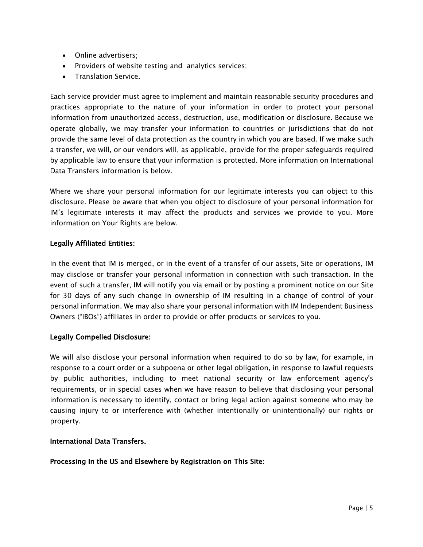- Online advertisers;
- Providers of website testing and analytics services;
- Translation Service.

Each service provider must agree to implement and maintain reasonable security procedures and practices appropriate to the nature of your information in order to protect your personal information from unauthorized access, destruction, use, modification or disclosure. Because we operate globally, we may transfer your information to countries or jurisdictions that do not provide the same level of data protection as the country in which you are based. If we make such a transfer, we will, or our vendors will, as applicable, provide for the proper safeguards required by applicable law to ensure that your information is protected. More information on International Data Transfers information is below.

Where we share your personal information for our legitimate interests you can object to this disclosure. Please be aware that when you object to disclosure of your personal information for IM's legitimate interests it may affect the products and services we provide to you. More information on Your Rights are below.

## Legally Affiliated Entities:

In the event that IM is merged, or in the event of a transfer of our assets, Site or operations, IM may disclose or transfer your personal information in connection with such transaction. In the event of such a transfer, IM will notify you via email or by posting a prominent notice on our Site for 30 days of any such change in ownership of IM resulting in a change of control of your personal information. We may also share your personal information with IM Independent Business Owners ("IBOs") affiliates in order to provide or offer products or services to you.

## Legally Compelled Disclosure:

We will also disclose your personal information when required to do so by law, for example, in response to a court order or a subpoena or other legal obligation, in response to lawful requests by public authorities, including to meet national security or law enforcement agency's requirements, or in special cases when we have reason to believe that disclosing your personal information is necessary to identify, contact or bring legal action against someone who may be causing injury to or interference with (whether intentionally or unintentionally) our rights or property.

## International Data Transfers.

## Processing In the US and Elsewhere by Registration on This Site: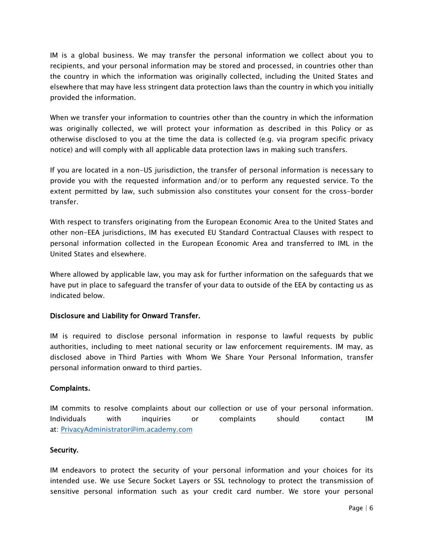IM is a global business. We may transfer the personal information we collect about you to recipients, and your personal information may be stored and processed, in countries other than the country in which the information was originally collected, including the United States and elsewhere that may have less stringent data protection laws than the country in which you initially provided the information.

When we transfer your information to countries other than the country in which the information was originally collected, we will protect your information as described in this Policy or as otherwise disclosed to you at the time the data is collected (e.g. via program specific privacy notice) and will comply with all applicable data protection laws in making such transfers.

If you are located in a non-US jurisdiction, the transfer of personal information is necessary to provide you with the requested information and/or to perform any requested service. To the extent permitted by law, such submission also constitutes your consent for the cross-border transfer.

With respect to transfers originating from the European Economic Area to the United States and other non-EEA jurisdictions, IM has executed EU Standard Contractual Clauses with respect to personal information collected in the European Economic Area and transferred to IML in the United States and elsewhere.

Where allowed by applicable law, you may ask for further information on the safeguards that we have put in place to safeguard the transfer of your data to outside of the EEA by contacting us as indicated below.

## Disclosure and Liability for Onward Transfer.

IM is required to disclose personal information in response to lawful requests by public authorities, including to meet national security or law enforcement requirements. IM may, as disclosed above in Third Parties with Whom We Share Your Personal Information, transfer personal information onward to third parties.

## Complaints.

IM commits to resolve complaints about our collection or use of your personal information. Individuals with inquiries or complaints should contact IM at: PrivacyAdministrator@im.academy.com

## Security.

IM endeavors to protect the security of your personal information and your choices for its intended use. We use Secure Socket Layers or SSL technology to protect the transmission of sensitive personal information such as your credit card number. We store your personal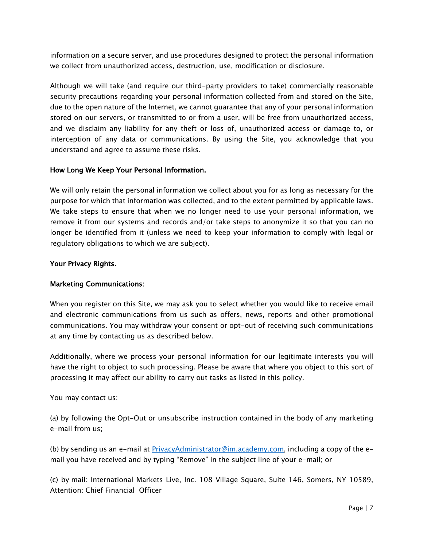information on a secure server, and use procedures designed to protect the personal information we collect from unauthorized access, destruction, use, modification or disclosure.

Although we will take (and require our third-party providers to take) commercially reasonable security precautions regarding your personal information collected from and stored on the Site, due to the open nature of the Internet, we cannot guarantee that any of your personal information stored on our servers, or transmitted to or from a user, will be free from unauthorized access, and we disclaim any liability for any theft or loss of, unauthorized access or damage to, or interception of any data or communications. By using the Site, you acknowledge that you understand and agree to assume these risks.

## How Long We Keep Your Personal Information.

We will only retain the personal information we collect about you for as long as necessary for the purpose for which that information was collected, and to the extent permitted by applicable laws. We take steps to ensure that when we no longer need to use your personal information, we remove it from our systems and records and/or take steps to anonymize it so that you can no longer be identified from it (unless we need to keep your information to comply with legal or regulatory obligations to which we are subject).

### Your Privacy Rights.

## Marketing Communications:

When you register on this Site, we may ask you to select whether you would like to receive email and electronic communications from us such as offers, news, reports and other promotional communications. You may withdraw your consent or opt-out of receiving such communications at any time by contacting us as described below.

Additionally, where we process your personal information for our legitimate interests you will have the right to object to such processing. Please be aware that where you object to this sort of processing it may affect our ability to carry out tasks as listed in this policy.

You may contact us:

(a) by following the Opt-Out or unsubscribe instruction contained in the body of any marketing e-mail from us;

(b) by sending us an e-mail at PrivacyAdministrator@im.academy.com, including a copy of the email you have received and by typing "Remove" in the subject line of your e-mail; or

(c) by mail: International Markets Live, Inc. 108 Village Square, Suite 146, Somers, NY 10589, Attention: Chief Financial Officer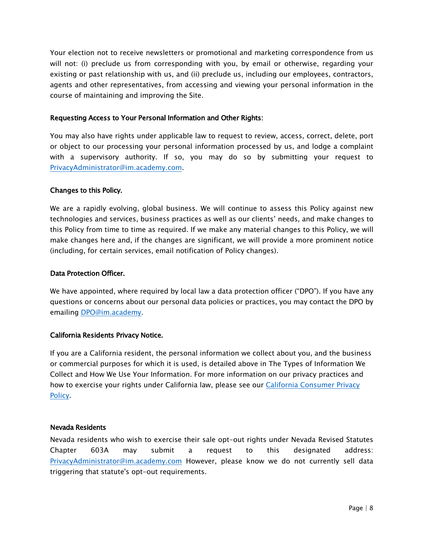Your election not to receive newsletters or promotional and marketing correspondence from us will not: (i) preclude us from corresponding with you, by email or otherwise, regarding your existing or past relationship with us, and (ii) preclude us, including our employees, contractors, agents and other representatives, from accessing and viewing your personal information in the course of maintaining and improving the Site.

### Requesting Access to Your Personal Information and Other Rights:

You may also have rights under applicable law to request to review, access, correct, delete, port or object to our processing your personal information processed by us, and lodge a complaint with a supervisory authority. If so, you may do so by submitting your request to PrivacyAdministrator@im.academy.com.

## Changes to this Policy.

We are a rapidly evolving, global business. We will continue to assess this Policy against new technologies and services, business practices as well as our clients' needs, and make changes to this Policy from time to time as required. If we make any material changes to this Policy, we will make changes here and, if the changes are significant, we will provide a more prominent notice (including, for certain services, email notification of Policy changes).

### Data Protection Officer.

We have appointed, where required by local law a data protection officer ("DPO"). If you have any questions or concerns about our personal data policies or practices, you may contact the DPO by emailing DPO@im.academy.

## California Residents Privacy Notice.

If you are a California resident, the personal information we collect about you, and the business or commercial purposes for which it is used, is detailed above in The Types of Information We Collect and How We Use Your Information. For more information on our privacy practices and how to exercise your rights under California law, please see our California [Consumer](https://im.academy/htdocs/CCPA.pdf) Privacy [Policy](https://im.academy/htdocs/CCPA.pdf).

#### Nevada Residents

Nevada residents who wish to exercise their sale opt-out rights under Nevada Revised Statutes Chapter 603A may submit a request to this designated address: PrivacyAdministrator@im.academy.com However, please know we do not currently sell data triggering that statute's opt-out requirements.